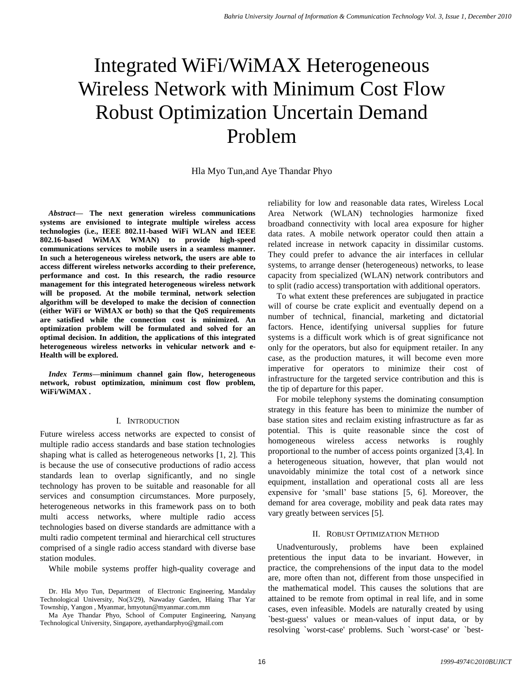# Integrated WiFi/WiMAX Heterogeneous Wireless Network with Minimum Cost Flow Robust Optimization Uncertain Demand Problem

Hla Myo Tun,and Aye Thandar Phyo

*Abstract***— The next generation wireless communications systems are envisioned to integrate multiple wireless access technologies (i.e., IEEE 802.11-based WiFi WLAN and IEEE 802.16-based WiMAX WMAN) to provide high-speed communications services to mobile users in a seamless manner. In such a heterogeneous wireless network, the users are able to access different wireless networks according to their preference, performance and cost. In this research, the radio resource management for this integrated heterogeneous wireless network will be proposed. At the mobile terminal, network selection algorithm will be developed to make the decision of connection (either WiFi or WiMAX or both) so that the QoS requirements are satisfied while the connection cost is minimized. An optimization problem will be formulated and solved for an optimal decision. In addition, the applications of this integrated heterogeneous wireless networks in vehicular network and e-Health will be explored.**

*Index Terms***—minimum channel gain flow, heterogeneous network, robust optimization, minimum cost flow problem, WiFi/WiMAX .**

# I. INTRODUCTION

Future wireless access networks are expected to consist of multiple radio access standards and base station technologies shaping what is called as heterogeneous networks [1, 2]. This is because the use of consecutive productions of radio access standards lean to overlap significantly, and no single technology has proven to be suitable and reasonable for all services and consumption circumstances. More purposely, heterogeneous networks in this framework pass on to both multi access networks, where multiple radio access technologies based on diverse standards are admittance with a multi radio competent terminal and hierarchical cell structures comprised of a single radio access standard with diverse base station modules.

While mobile systems proffer high-quality coverage and

Dr. Hla Myo Tun, Department of Electronic Engineering, Mandalay Technological University, No(3/29), Nawaday Garden, Hlaing Thar Yar Township, Yangon , Myanmar, hmyotun@myanmar.com.mm

reliability for low and reasonable data rates, Wireless Local Area Network (WLAN) technologies harmonize fixed broadband connectivity with local area exposure for higher data rates. A mobile network operator could then attain a related increase in network capacity in dissimilar customs. They could prefer to advance the air interfaces in cellular systems, to arrange denser (heterogeneous) networks, to lease capacity from specialized (WLAN) network contributors and to split (radio access) transportation with additional operators.

To what extent these preferences are subjugated in practice will of course be crate explicit and eventually depend on a number of technical, financial, marketing and dictatorial factors. Hence, identifying universal supplies for future systems is a difficult work which is of great significance not only for the operators, but also for equipment retailer. In any case, as the production matures, it will become even more imperative for operators to minimize their cost of infrastructure for the targeted service contribution and this is the tip of departure for this paper.

For mobile telephony systems the dominating consumption strategy in this feature has been to minimize the number of base station sites and reclaim existing infrastructure as far as potential. This is quite reasonable since the cost of homogeneous wireless access networks is roughly proportional to the number of access points organized [3,4]. In a heterogeneous situation, however, that plan would not unavoidably minimize the total cost of a network since equipment, installation and operational costs all are less expensive for "small" base stations [5, 6]. Moreover, the demand for area coverage, mobility and peak data rates may vary greatly between services [5].

# II. ROBUST OPTIMIZATION METHOD

Unadventurously, problems have been explained pretentious the input data to be invariant. However, in practice, the comprehensions of the input data to the model are, more often than not, different from those unspecified in the mathematical model. This causes the solutions that are attained to be remote from optimal in real life, and in some cases, even infeasible. Models are naturally created by using `best-guess' values or mean-values of input data, or by resolving `worst-case' problems. Such `worst-case' or `best-

Ma Aye Thandar Phyo, School of Computer Engineering, Nanyang Technological University, Singapore, ayethandarphyo@gmail.com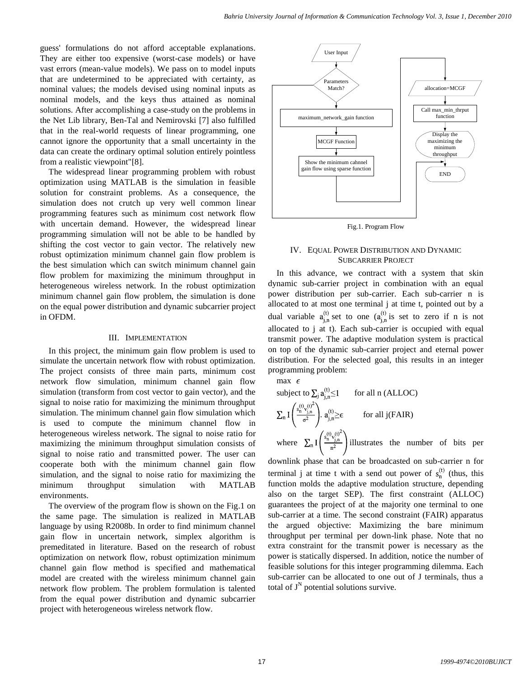guess' formulations do not afford acceptable explanations. They are either too expensive (worst-case models) or have vast errors (mean-value models). We pass on to model inputs that are undetermined to be appreciated with certainty, as nominal values; the models devised using nominal inputs as nominal models, and the keys thus attained as nominal solutions. After accomplishing a case-study on the problems in the Net Lib library, Ben-Tal and Nemirovski [7] also fulfilled that in the real-world requests of linear programming, one cannot ignore the opportunity that a small uncertainty in the data can create the ordinary optimal solution entirely pointless from a realistic viewpoint"[8].

The widespread linear programming problem with robust optimization using MATLAB is the simulation in feasible solution for constraint problems. As a consequence, the simulation does not crutch up very well common linear programming features such as minimum cost network flow with uncertain demand. However, the widespread linear programming simulation will not be able to be handled by shifting the cost vector to gain vector. The relatively new robust optimization minimum channel gain flow problem is the best simulation which can switch minimum channel gain flow problem for maximizing the minimum throughput in heterogeneous wireless network. In the robust optimization minimum channel gain flow problem, the simulation is done on the equal power distribution and dynamic subcarrier project in OFDM.

#### III. IMPLEMENTATION

In this project, the minimum gain flow problem is used to simulate the uncertain network flow with robust optimization. The project consists of three main parts, minimum cost network flow simulation, minimum channel gain flow simulation (transform from cost vector to gain vector), and the signal to noise ratio for maximizing the minimum throughput simulation. The minimum channel gain flow simulation which is used to compute the minimum channel flow in heterogeneous wireless network. The signal to noise ratio for maximizing the minimum throughput simulation consists of signal to noise ratio and transmitted power. The user can cooperate both with the minimum channel gain flow simulation, and the signal to noise ratio for maximizing the minimum throughput simulation with MATLAB environments.

The overview of the program flow is shown on the Fig.1 on the same page. The simulation is realized in MATLAB language by using R2008b. In order to find minimum channel gain flow in uncertain network, simplex algorithm is premeditated in literature. Based on the research of robust optimization on network flow, robust optimization minimum channel gain flow method is specified and mathematical model are created with the wireless minimum channel gain network flow problem. The problem formulation is talented from the equal power distribution and dynamic subcarrier project with heterogeneous wireless network flow.



Fig.1. Program Flow

#### IV. EQUAL POWER DISTRIBUTION AND DYNAMIC SUBCARRIER PROJECT

In this advance, we contract with a system that skin dynamic sub-carrier project in combination with an equal power distribution per sub-carrier. Each sub-carrier n is allocated to at most one terminal j at time t, pointed out by a dual variable  $a_{i,n}^{(t)}$  set to one  $(a_{i,n}^{(t)}$  is set to zero if n is not allocated to j at t). Each sub-carrier is occupied with equal transmit power. The adaptive modulation system is practical on top of the dynamic sub-carrier project and eternal power distribution. For the selected goal, this results in an integer programming problem:

max 
$$
\epsilon
$$
  
\nsubject to  $\sum_{j} a_{j,n}^{(t)} \le 1$  for all n (ALLOC)  
\n
$$
\sum_{n} I\left(\frac{s_n^{(t)} v_{j,n}^{(t)^2}}{\sigma^2}\right) . a_{j,n}^{(t)} \ge \epsilon
$$
 for all j(FAIR)  
\nwhere  $\sum_{n} I\left(\frac{s_n^{(t)} v_{j,n}^{(t)^2}}{n^2}\right)$  illustrates the number of bits per

downlink phase that can be broadcasted on sub-carrier n for terminal j at time t with a send out power of  $s_n^{(t)}$  (thus, this function molds the adaptive modulation structure, depending also on the target SEP). The first constraint (ALLOC) guarantees the project of at the majority one terminal to one sub-carrier at a time. The second constraint (FAIR) apparatus the argued objective: Maximizing the bare minimum throughput per terminal per down-link phase. Note that no extra constraint for the transmit power is necessary as the power is statically dispersed. In addition, notice the number of feasible solutions for this integer programming dilemma. Each sub-carrier can be allocated to one out of J terminals, thus a total of  $J^N$  potential solutions survive.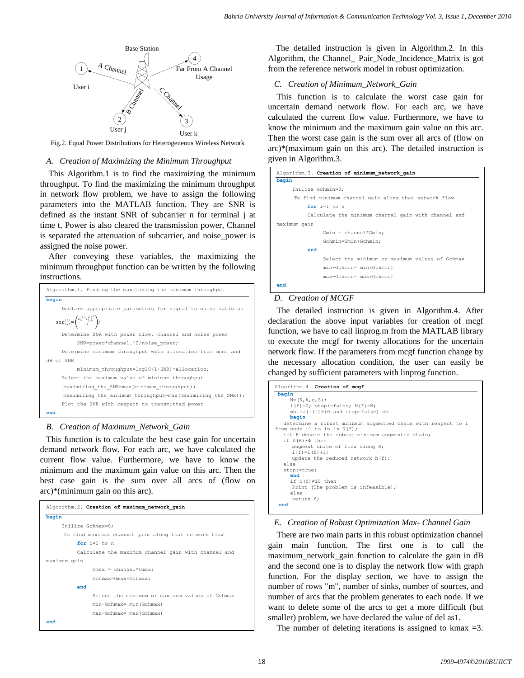

Fig.2. Equal Power Distributions for Heterogeneous Wireless Network

#### *A. Creation of Maximizing the Minimum Throughput*

This Algorithm.1 is to find the maximizing the minimum throughput. To find the maximizing the minimum throughput in network flow problem, we have to assign the following parameters into the MATLAB function. They are SNR is defined as the instant SNR of subcarrier n for terminal j at time t, Power is also cleared the transmission power, Channel is separated the attenuation of subcarrier, and noise\_power is assigned the noise power.

After conveying these variables, the maximizing the minimum throughput function can be written by the following instructions.

| Algorithm.1. Finding the maximizing the minimum throughput              |
|-------------------------------------------------------------------------|
| begin                                                                   |
| Declare appropriate parameters for signal to noise ratio as             |
| $snr_{j,n}^{(t)} = \left(\frac{s_0^{(t)} v_{j,n}^{(t)^2}}{n^2}\right);$ |
| Determine SNR with power flow, channel and noise power                  |
| SNR=power*channel.^2/noise power;                                       |
| Determine minimum throughput with allocation from monf and              |
| dB of SNR                                                               |
| minimum throughput=log10(1+SNR)*allocation;                             |
| Select the maximum value of minimum throughput                          |
| maximizing the SNR=max (minimum throughput);                            |
| maximizing the minimum throughput=max (maximizing the SNR));            |
| Plot the SNR with respect to transmitted power                          |
| end                                                                     |

# *B. Creation of Maximum\_Network\_Gain*

This function is to calculate the best case gain for uncertain demand network flow. For each arc, we have calculated the current flow value. Furthermore, we have to know the minimum and the maximum gain value on this arc. Then the best case gain is the sum over all arcs of (flow on arc)\*(minimum gain on this arc).

| Algorithm.2. Creation of maximum network gain        |
|------------------------------------------------------|
| begin                                                |
| Inilize Gchmax=0;                                    |
| To find maximum channel gain along that network flow |
| for $i=1$ to n                                       |
| Calculate the maximum channel gain with channel and  |
| maximum qain                                         |
| $Gmax = channel * Gmax$                              |
| Gchmax=Gmax+Gchmax;                                  |
| end                                                  |
| Select the minimum or maximum values of Gchmax       |
| min-Gchmax= min (Gchmax)                             |
| max-Gchmax= max (Gchmax)                             |
| end                                                  |

The detailed instruction is given in Algorithm.2. In this Algorithm, the Channel Pair Node Incidence Matrix is got from the reference network model in robust optimization.

# *C. Creation of Minimum\_Network\_Gain*

This function is to calculate the worst case gain for uncertain demand network flow. For each arc, we have calculated the current flow value. Furthermore, we have to know the minimum and the maximum gain value on this arc. Then the worst case gain is the sum over all arcs of (flow on arc)\*(maximum gain on this arc). The detailed instruction is given in Algorithm.3.

| Algorithm.3. Creation of minimum network gain        |
|------------------------------------------------------|
| begin                                                |
| Inilize Gchmin=0;                                    |
| To find minimum channel gain along that network flow |
| for $i=1$ to n                                       |
| Calculate the minimum channel gain with channel and  |
| maximum qain                                         |
| $Gmin = channel * Gmin$                              |
| Gchmin=Gmin+Gchmin;                                  |
| end                                                  |
| Select the minimum or maximum values of Gchmax       |
| min-Gchmin= min(Gchmin)                              |
| max-Gchmin= max(Gchmin)                              |
| end                                                  |

# *D. Creation of MCGF*

The detailed instruction is given in Algorithm.4. After declaration the above input variables for creation of mcgf function, we have to call linprog.m from the MATLAB library to execute the mcgf for twenty allocations for the uncertain network flow. If the parameters from mcgf function change by the necessary allocation condition, the user can easily be changed by sufficient parameters with linprog function.

| Algorithm. 4. Creation of mcgf                               |
|--------------------------------------------------------------|
| begin                                                        |
| $N = (K, A, u, S)$ ;                                         |
| i(f)=0; stop:=false; $N(f) = N$ ;                            |
| while( $i(f) \neq i0$ and stop=false) do                     |
| begin                                                        |
| determine a robust minimum augmented chain with respect to 1 |
| from node il to in in $N(f)$ ;                               |
| let R denote the robust minimum augmented chain;             |
| if $A(R) \neq \Phi$ then                                     |
| augment unite of flow along R;                               |
| $i(f) = i(f) + 1;$                                           |
| update the reduced network $N(f)$ ;                          |
| else                                                         |
| $stop:=true;$                                                |
| end                                                          |
| if $i(f) \neq i0$ then                                       |
| Print (The problem is infeasible);                           |
| else                                                         |
| return f;                                                    |
| end                                                          |

# *E. Creation of Robust Optimization Max- Channel Gain*

There are two main parts in this robust optimization channel gain main function. The first one is to call the maximum\_network\_gain function to calculate the gain in dB and the second one is to display the network flow with graph function. For the display section, we have to assign the number of rows "m", number of sinks, number of sources, and number of arcs that the problem generates to each node. If we want to delete some of the arcs to get a more difficult (but smaller) problem, we have declared the value of del as1.

The number of deleting iterations is assigned to kmax  $=3$ .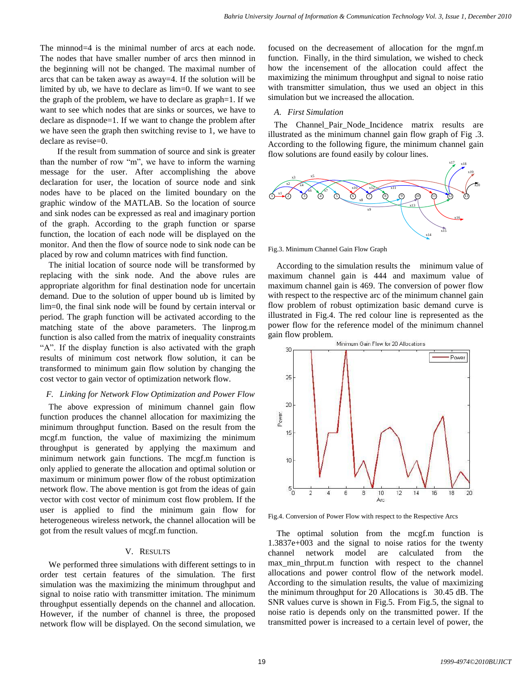The minnod=4 is the minimal number of arcs at each node. The nodes that have smaller number of arcs then minnod in the beginning will not be changed. The maximal number of arcs that can be taken away as away=4. If the solution will be limited by ub, we have to declare as lim=0. If we want to see the graph of the problem, we have to declare as graph=1. If we want to see which nodes that are sinks or sources, we have to declare as dispnode=1. If we want to change the problem after we have seen the graph then switching revise to 1, we have to declare as revise=0.

If the result from summation of source and sink is greater than the number of row "m", we have to inform the warning message for the user. After accomplishing the above declaration for user, the location of source node and sink nodes have to be placed on the limited boundary on the graphic window of the MATLAB. So the location of source and sink nodes can be expressed as real and imaginary portion of the graph. According to the graph function or sparse function, the location of each node will be displayed on the monitor. And then the flow of source node to sink node can be placed by row and column matrices with find function.

The initial location of source node will be transformed by replacing with the sink node. And the above rules are appropriate algorithm for final destination node for uncertain demand. Due to the solution of upper bound ub is limited by lim=0, the final sink node will be found by certain interval or period. The graph function will be activated according to the matching state of the above parameters. The linprog.m function is also called from the matrix of inequality constraints "A". If the display function is also activated with the graph results of minimum cost network flow solution, it can be transformed to minimum gain flow solution by changing the cost vector to gain vector of optimization network flow.

# *F. Linking for Network Flow Optimization and Power Flow*

The above expression of minimum channel gain flow function produces the channel allocation for maximizing the minimum throughput function. Based on the result from the mcgf.m function, the value of maximizing the minimum throughput is generated by applying the maximum and minimum network gain functions. The mcgf.m function is only applied to generate the allocation and optimal solution or maximum or minimum power flow of the robust optimization network flow. The above mention is got from the ideas of gain vector with cost vector of minimum cost flow problem. If the user is applied to find the minimum gain flow for heterogeneous wireless network, the channel allocation will be got from the result values of mcgf.m function.

#### V. RESULTS

We performed three simulations with different settings to in order test certain features of the simulation. The first simulation was the maximizing the minimum throughput and signal to noise ratio with transmitter imitation. The minimum throughput essentially depends on the channel and allocation. However, if the number of channel is three, the proposed network flow will be displayed. On the second simulation, we

focused on the decreasement of allocation for the mgnf.m function. Finally, in the third simulation, we wished to check how the incensement of the allocation could affect the maximizing the minimum throughput and signal to noise ratio with transmitter simulation, thus we used an object in this simulation but we increased the allocation.

# *A. First Simulation*

The Channel\_Pair\_Node\_Incidence matrix results are illustrated as the minimum channel gain flow graph of Fig .3. According to the following figure, the minimum channel gain flow solutions are found easily by colour lines.



Fig.3. Minimum Channel Gain Flow Graph

According to the simulation results the minimum value of maximum channel gain is 444 and maximum value of maximum channel gain is 469. The conversion of power flow with respect to the respective arc of the minimum channel gain flow problem of robust optimization basic demand curve is illustrated in Fig.4. The red colour line is represented as the power flow for the reference model of the minimum channel gain flow problem.



Fig.4. Conversion of Power Flow with respect to the Respective Arcs

The optimal solution from the mcgf.m function is 1.3837e+003 and the signal to noise ratios for the twenty channel network model are calculated from the max min thrput.m function with respect to the channel allocations and power control flow of the network model. According to the simulation results, the value of maximizing the minimum throughput for 20 Allocations is 30.45 dB. The SNR values curve is shown in Fig.5. From Fig.5, the signal to noise ratio is depends only on the transmitted power. If the transmitted power is increased to a certain level of power, the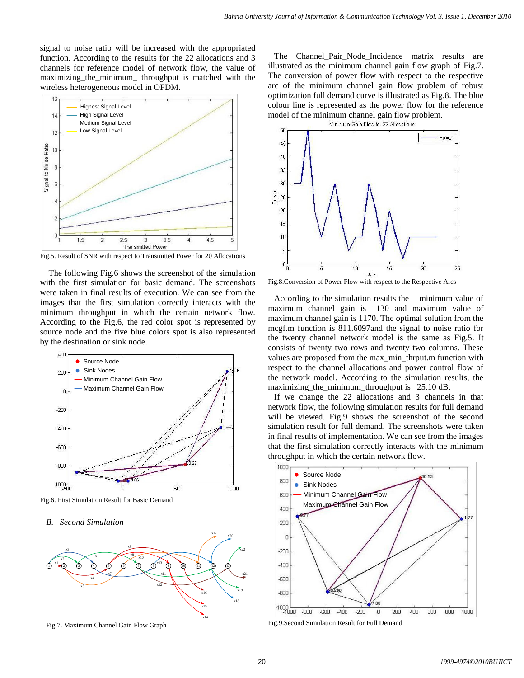signal to noise ratio will be increased with the appropriated function. According to the results for the 22 allocations and 3 channels for reference model of network flow, the value of maximizing\_the\_minimum\_ throughput is matched with the wireless heterogeneous model in OFDM.



Fig.5. Result of SNR with respect to Transmitted Power for 20 Allocations

The following Fig.6 shows the screenshot of the simulation with the first simulation for basic demand. The screenshots were taken in final results of execution. We can see from the images that the first simulation correctly interacts with the minimum throughput in which the certain network flow. According to the Fig.6, the red color spot is represented by source node and the five blue colors spot is also represented by the destination or sink node.



Fig.6. First Simulation Result for Basic Demand

#### *B. Second Simulation*



Fig.7. Maximum Channel Gain Flow Graph

The Channel\_Pair\_Node\_Incidence matrix results are illustrated as the minimum channel gain flow graph of Fig.7. The conversion of power flow with respect to the respective arc of the minimum channel gain flow problem of robust optimization full demand curve is illustrated as Fig.8. The blue colour line is represented as the power flow for the reference model of the minimum channel gain flow problem. Minimum Gain Flow for 22 Allocations



Fig.8.Conversion of Power Flow with respect to the Respective Arcs

According to the simulation results the minimum value of maximum channel gain is 1130 and maximum value of maximum channel gain is 1170. The optimal solution from the mcgf.m function is 811.6097and the signal to noise ratio for the twenty channel network model is the same as Fig.5. It consists of twenty two rows and twenty two columns. These values are proposed from the max\_min\_thrput.m function with respect to the channel allocations and power control flow of the network model. According to the simulation results, the maximizing\_the\_minimum\_throughput is 25.10 dB.

If we change the 22 allocations and 3 channels in that network flow, the following simulation results for full demand will be viewed. Fig.9 shows the screenshot of the second simulation result for full demand. The screenshots were taken in final results of implementation. We can see from the images that the first simulation correctly interacts with the minimum throughput in which the certain network flow.



Fig.9.Second Simulation Result for Full Demand